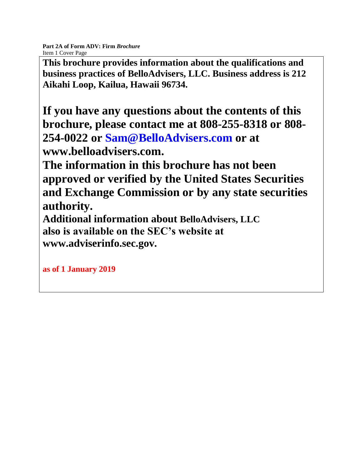**This brochure provides information about the qualifications and business practices of BelloAdvisers, LLC. Business address is 212 Aikahi Loop, Kailua, Hawaii 96734.** 

**If you have any questions about the contents of this brochure, please contact me at 808-255-8318 or 808- 254-0022 or Sam@BelloAdvisers.com or at www.belloadvisers.com.**

**The information in this brochure has not been approved or verified by the United States Securities and Exchange Commission or by any state securities authority.**

**Additional information about BelloAdvisers, LLC also is available on the SEC's website at www.adviserinfo.sec.gov.**

**as of 1 January 2019**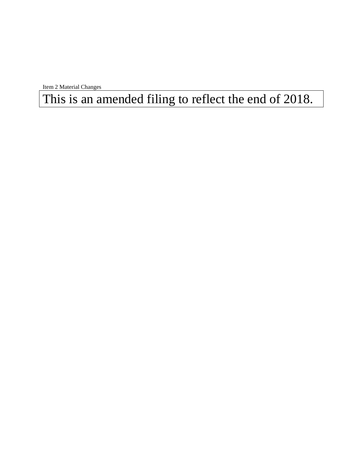Item 2 Material Changes

This is an amended filing to reflect the end of 2018.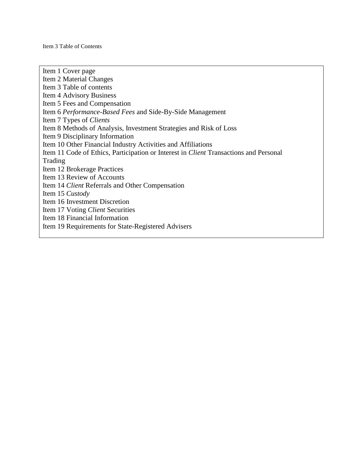Item 1 Cover page Item 2 Material Changes Item 3 Table of contents Item 4 Advisory Business Item 5 Fees and Compensation Item 6 *Performance-Based Fees* and Side-By-Side Management Item 7 Types of *Clients* Item 8 Methods of Analysis, Investment Strategies and Risk of Loss Item 9 Disciplinary Information Item 10 Other Financial Industry Activities and Affiliations Item 11 Code of Ethics, Participation or Interest in *Client* Transactions and Personal Trading Item 12 Brokerage Practices Item 13 Review of Accounts Item 14 *Client* Referrals and Other Compensation Item 15 *Custody* Item 16 Investment Discretion Item 17 Voting *Client* Securities Item 18 Financial Information Item 19 Requirements for State-Registered Advisers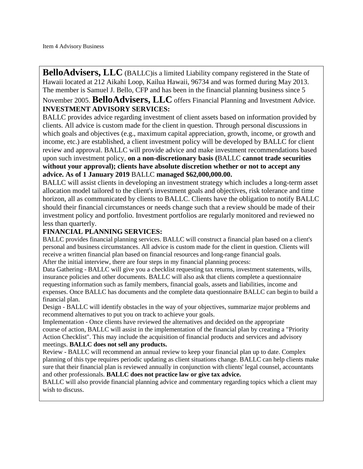**BelloAdvisers, LLC** (BALLC) is a limited Liability company registered in the State of Hawaii located at 212 Aikahi Loop, Kailua Hawaii, 96734 and was formed during May 2013. The member is Samuel J. Bello, CFP and has been in the financial planning business since 5

November 2005. **BelloAdvisers, LLC** offers Financial Planning and Investment Advice. **INVESTMENT ADVISORY SERVICES:**

BALLC provides advice regarding investment of client assets based on information provided by clients. All advice is custom made for the client in question. Through personal discussions in which goals and objectives (e.g., maximum capital appreciation, growth, income, or growth and income, etc.) are established, a client investment policy will be developed by BALLC for client review and approval. BALLC will provide advice and make investment recommendations based upon such investment policy, **on a non-discretionary basis (**BALLC **cannot trade securities without your approval); clients have absolute discretion whether or not to accept any advice. As of 1 January 2019** BALLC **managed \$62,000,000.00.**

BALLC will assist clients in developing an investment strategy which includes a long-term asset allocation model tailored to the client's investment goals and objectives, risk tolerance and time horizon, all as communicated by clients to BALLC. Clients have the obligation to notify BALLC should their financial circumstances or needs change such that a review should be made of their investment policy and portfolio. Investment portfolios are regularly monitored and reviewed no less than quarterly.

# **FINANCIAL PLANNING SERVICES:**

BALLC provides financial planning services. BALLC will construct a financial plan based on a client's personal and business circumstances. All advice is custom made for the client in question. Clients will receive a written financial plan based on financial resources and long-range financial goals. After the initial interview, there are four steps in my financial planning process:

Data Gathering - BALLC will give you a checklist requesting tax returns, investment statements, wills, insurance policies and other documents. BALLC will also ask that clients complete a questionnaire requesting information such as family members, financial goals, assets and liabilities, income and expenses. Once BALLC has documents and the complete data questionnaire BALLC can begin to build a financial plan.

Design - BALLC will identify obstacles in the way of your objectives, summarize major problems and recommend alternatives to put you on track to achieve your goals.

Implementation - Once clients have reviewed the alternatives and decided on the appropriate course of action, BALLC will assist in the implementation of the financial plan by creating a "Priority Action Checklist". This may include the acquisition of financial products and services and advisory meetings. **BALLC does not sell any products.**

Review - BALLC will recommend an annual review to keep your financial plan up to date. Complex planning of this type requires periodic updating as client situations change. BALLC can help clients make sure that their financial plan is reviewed annually in conjunction with clients' legal counsel, accountants and other professionals. **BALLC does not practice law or give tax advice.**

BALLC will also provide financial planning advice and commentary regarding topics which a client may wish to discuss.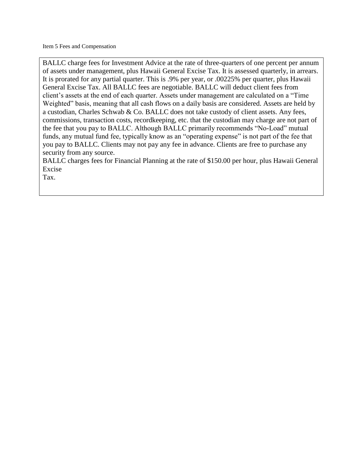BALLC charge fees for Investment Advice at the rate of three-quarters of one percent per annum of assets under management, plus Hawaii General Excise Tax. It is assessed quarterly, in arrears. It is prorated for any partial quarter. This is .9% per year, or .00225% per quarter, plus Hawaii General Excise Tax. All BALLC fees are negotiable. BALLC will deduct client fees from client's assets at the end of each quarter. Assets under management are calculated on a "Time Weighted" basis, meaning that all cash flows on a daily basis are considered. Assets are held by a custodian, Charles Schwab & Co. BALLC does not take custody of client assets. Any fees, commissions, transaction costs, recordkeeping, etc. that the custodian may charge are not part of the fee that you pay to BALLC. Although BALLC primarily recommends "No-Load" mutual funds, any mutual fund fee, typically know as an "operating expense" is not part of the fee that you pay to BALLC. Clients may not pay any fee in advance. Clients are free to purchase any security from any source.

BALLC charges fees for Financial Planning at the rate of \$150.00 per hour, plus Hawaii General Excise

Tax.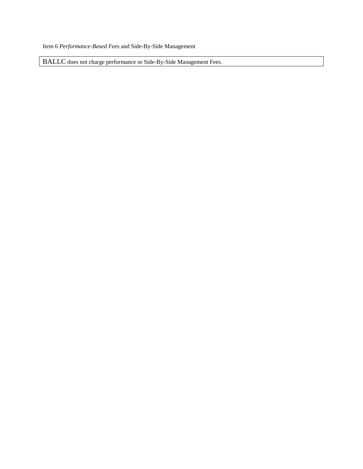Item 6 *Performance-Based Fees* and Side-By-Side Management

BALLC does not charge performance or Side-By-Side Management Fees.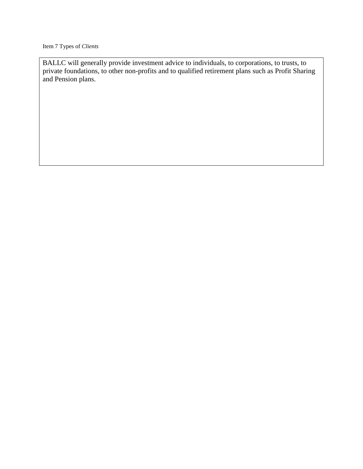Item 7 Types of *Clients*

BALLC will generally provide investment advice to individuals, to corporations, to trusts, to private foundations, to other non-profits and to qualified retirement plans such as Profit Sharing and Pension plans.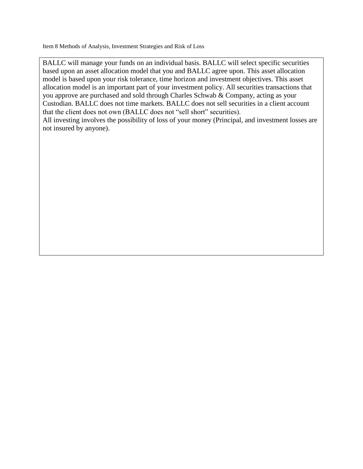Item 8 Methods of Analysis, Investment Strategies and Risk of Loss

BALLC will manage your funds on an individual basis. BALLC will select specific securities based upon an asset allocation model that you and BALLC agree upon. This asset allocation model is based upon your risk tolerance, time horizon and investment objectives. This asset allocation model is an important part of your investment policy. All securities transactions that you approve are purchased and sold through Charles Schwab & Company, acting as your Custodian. BALLC does not time markets. BALLC does not sell securities in a client account that the client does not own (BALLC does not "sell short" securities). All investing involves the possibility of loss of your money (Principal, and investment losses are not insured by anyone).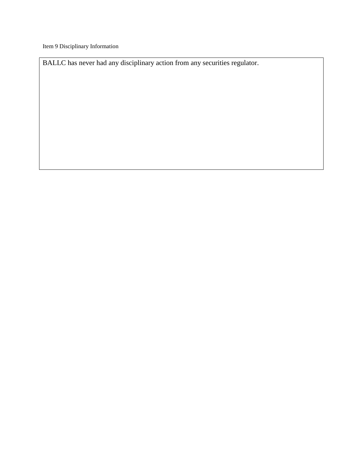Item 9 Disciplinary Information

BALLC has never had any disciplinary action from any securities regulator.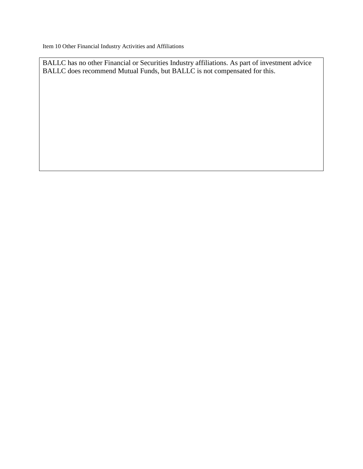Item 10 Other Financial Industry Activities and Affiliations

BALLC has no other Financial or Securities Industry affiliations. As part of investment advice BALLC does recommend Mutual Funds, but BALLC is not compensated for this.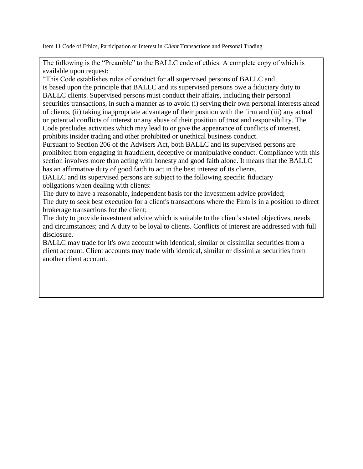Item 11 Code of Ethics, Participation or Interest in *Client* Transactions and Personal Trading

The following is the "Preamble" to the BALLC code of ethics. A complete copy of which is available upon request:

"This Code establishes rules of conduct for all supervised persons of BALLC and is based upon the principle that BALLC and its supervised persons owe a fiduciary duty to BALLC clients. Supervised persons must conduct their affairs, including their personal securities transactions, in such a manner as to avoid (i) serving their own personal interests ahead of clients, (ii) taking inappropriate advantage of their position with the firm and (iii) any actual or potential conflicts of interest or any abuse of their position of trust and responsibility. The Code precludes activities which may lead to or give the appearance of conflicts of interest, prohibits insider trading and other prohibited or unethical business conduct.

Pursuant to Section 206 of the Advisers Act, both BALLC and its supervised persons are prohibited from engaging in fraudulent, deceptive or manipulative conduct. Compliance with this section involves more than acting with honesty and good faith alone. It means that the BALLC has an affirmative duty of good faith to act in the best interest of its clients.

BALLC and its supervised persons are subject to the following specific fiduciary obligations when dealing with clients:

The duty to have a reasonable, independent basis for the investment advice provided; The duty to seek best execution for a client's transactions where the Firm is in a position to direct brokerage transactions for the client;

The duty to provide investment advice which is suitable to the client's stated objectives, needs and circumstances; and A duty to be loyal to clients. Conflicts of interest are addressed with full disclosure.

BALLC may trade for it's own account with identical, similar or dissimilar securities from a client account. Client accounts may trade with identical, similar or dissimilar securities from another client account.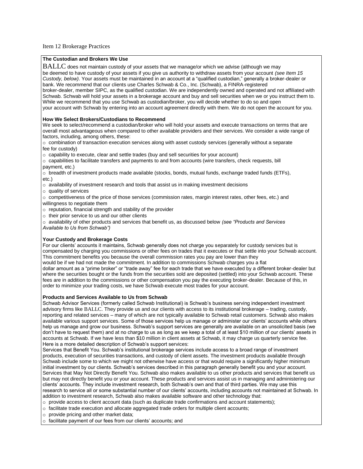## Item 12 Brokerage Practices

## **The Custodian and Brokers We Use**

 $BALLC$  does not maintain custody of your assets that we manage/or which we advise (although we may

be deemed to have custody of your assets if you give us authority to withdraw assets from your account *(see Item 15 Custody, below)*. Your assets must be maintained in an account at a "qualified custodian," generally a broker-dealer or bank. We recommend that our clients use Charles Schwab & Co., Inc. (Schwab), a FINRA-registered

broker-dealer, member SIPC, as the qualified custodian. We are independently owned and operated and not affiliated with Schwab. Schwab will hold your assets in a brokerage account and buy and sell securities when we or you instruct them to. While we recommend that you use Schwab as custodian/broker, you will decide whether to do so and open your account with Schwab by entering into an account agreement directly with them. We do not open the account for you.

## **How We Select Brokers/Custodians to Recommend**

We seek to select/recommend a custodian/broker who will hold your assets and execute transactions on terms that are overall most advantageous when compared to other available providers and their services. We consider a wide range of factors, including, among others, these:

o combination of transaction execution services along with asset custody services (generally without a separate fee for custody)

 $\circ$  capability to execute, clear and settle trades (buy and sell securities for your account)

 $\circ$  capabilities to facilitate transfers and payments to and from accounts (wire transfers, check requests, bill payment, etc.)

 $\circ$  breadth of investment products made available (stocks, bonds, mutual funds, exchange traded funds (ETFs), etc.)

 $\circ$  availability of investment research and tools that assist us in making investment decisions

 $\circ$  quality of services

o competitiveness of the price of those services (commission rates, margin interest rates, other fees, etc.) and willingness to negotiate them

o reputation, financial strength and stability of the provider

o their prior service to us and our other clients

o availability of other products and services that benefit us, as discussed below *(see "Products and Services Available to Us from Schwab")*

## **Your Custody and Brokerage Costs**

For our clients' accounts it maintains, Schwab generally does not charge you separately for custody services but is compensated by charging you commissions or other fees on trades that it executes or that settle into your Schwab account. This commitment benefits you because the overall commission rates you pay are lower than they would be if we had not made the commitment. In addition to commissions Schwab charges you a flat dollar amount as a "prime broker" or "trade away" fee for each trade that we have executed by a different broker-dealer but

where the securities bought or the funds from the securities sold are deposited (settled) into your Schwab account. These fees are in addition to the commissions or other compensation you pay the executing broker-dealer. Because of this, in order to minimize your trading costs, we have Schwab execute most trades for your account.

## **Products and Services Available to Us from Schwab**

Schwab Advisor Services (formerly called Schwab Institutional) is Schwab's business serving independent investment advisory firms like BALLC. They provide us and our clients with access to its institutional brokerage – trading, custody, reporting and related services – many of which are not typically available to Schwab retail customers. Schwab also makes available various support services. Some of those services help us manage or administer our clients' accounts while others help us manage and grow our business. Schwab's support services are generally are available on an unsolicited basis (we don't have to request them) and at no charge to us as long as we keep a total of at least \$10 million of our clients' assets in accounts at Schwab. If we have less than \$10 million in client assets at Schwab, it may charge us quarterly service fee. Here is a more detailed description of Schwab's support services:

Services that Benefit You. Schwab's institutional brokerage services include access to a broad range of investment products, execution of securities transactions, and custody of client assets. The investment products available through Schwab include some to which we might not otherwise have access or that would require a significantly higher minimum initial investment by our clients. Schwab's services described in this paragraph generally benefit you and your account. Services that May Not Directly Benefit You. Schwab also makes available to us other products and services that benefit us but may not directly benefit you or your account. These products and services assist us in managing and administering our clients' accounts. They include investment research, both Schwab's own and that of third parties. We may use this research to service all or some substantial number of our clients' accounts, including accounts not maintained at Schwab. In addition to investment research, Schwab also makes available software and other technology that:

 $\circ$  provide access to client account data (such as duplicate trade confirmations and account statements);

- $\circ$  facilitate trade execution and allocate aggregated trade orders for multiple client accounts;
- o provide pricing and other market data;

o facilitate payment of our fees from our clients' accounts; and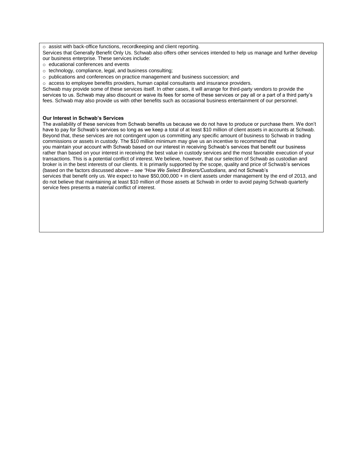o assist with back-office functions, recordkeeping and client reporting.

Services that Generally Benefit Only Us. Schwab also offers other services intended to help us manage and further develop our business enterprise. These services include:

- o educational conferences and events
- o technology, compliance, legal, and business consulting;
- o publications and conferences on practice management and business succession; and
- $\circ$  access to employee benefits providers, human capital consultants and insurance providers.

Schwab may provide some of these services itself. In other cases, it will arrange for third-party vendors to provide the services to us. Schwab may also discount or waive its fees for some of these services or pay all or a part of a third party's fees. Schwab may also provide us with other benefits such as occasional business entertainment of our personnel.

#### **Our Interest in Schwab's Services**

The availability of these services from Schwab benefits us because we do not have to produce or purchase them. We don't have to pay for Schwab's services so long as we keep a total of at least \$10 million of client assets in accounts at Schwab. Beyond that, these services are not contingent upon us committing any specific amount of business to Schwab in trading commissions or assets in custody. The \$10 million minimum may give us an incentive to recommend that you maintain your account with Schwab based on our interest in receiving Schwab's services that benefit our business rather than based on your interest in receiving the best value in custody services and the most favorable execution of your transactions. This is a potential conflict of interest. We believe, however, that our selection of Schwab as custodian and broker is in the best interests of our clients. It is primarily supported by the scope, quality and price of Schwab's services (based on the factors discussed above – *see "How We Select Brokers/Custodians,* and not Schwab's services that benefit only us. We expect to have \$50,000,000 + in client assets under management by the end of 2013, and do not believe that maintaining at least \$10 million of those assets at Schwab in order to avoid paying Schwab quarterly service fees presents a material conflict of interest.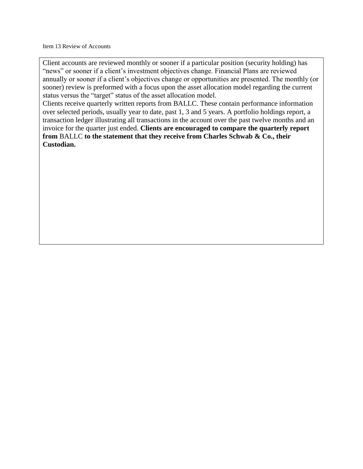Client accounts are reviewed monthly or sooner if a particular position (security holding) has "news" or sooner if a client's investment objectives change. Financial Plans are reviewed annually or sooner if a client's objectives change or opportunities are presented. The monthly (or sooner) review is preformed with a focus upon the asset allocation model regarding the current status versus the "target" status of the asset allocation model.

Clients receive quarterly written reports from BALLC. These contain performance information over selected periods, usually year to date, past 1, 3 and 5 years. A portfolio holdings report, a transaction ledger illustrating all transactions in the account over the past twelve months and an invoice for the quarter just ended. **Clients are encouraged to compare the quarterly report from** BALLC **to the statement that they receive from Charles Schwab & Co., their Custodian.**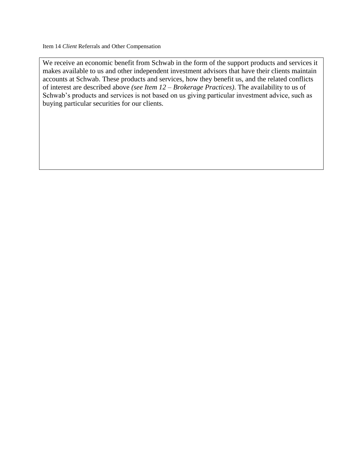We receive an economic benefit from Schwab in the form of the support products and services it makes available to us and other independent investment advisors that have their clients maintain accounts at Schwab. These products and services, how they benefit us, and the related conflicts of interest are described above *(see Item 12 – Brokerage Practices)*. The availability to us of Schwab's products and services is not based on us giving particular investment advice, such as buying particular securities for our clients.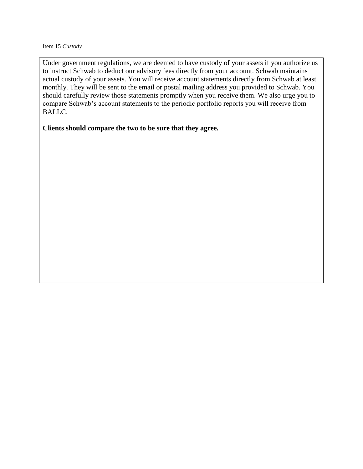Under government regulations, we are deemed to have custody of your assets if you authorize us to instruct Schwab to deduct our advisory fees directly from your account. Schwab maintains actual custody of your assets. You will receive account statements directly from Schwab at least monthly. They will be sent to the email or postal mailing address you provided to Schwab. You should carefully review those statements promptly when you receive them. We also urge you to compare Schwab's account statements to the periodic portfolio reports you will receive from BALLC.

## **Clients should compare the two to be sure that they agree.**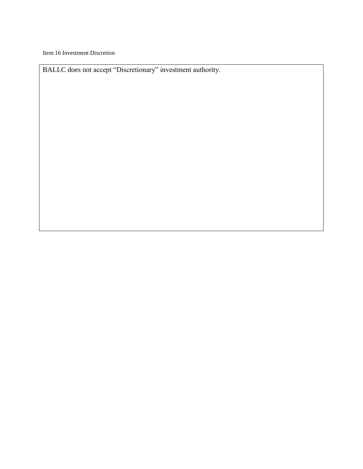Item 16 Investment Discretion

BALLC does not accept "Discretionary" investment authority.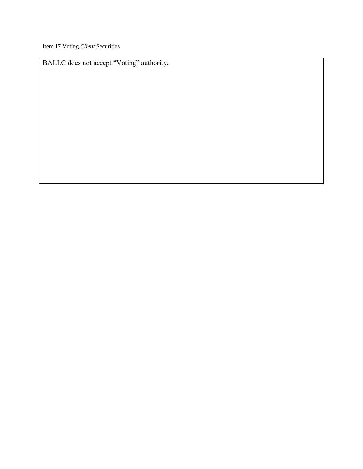Item 17 Voting *Client* Securities

BALLC does not accept "Voting" authority.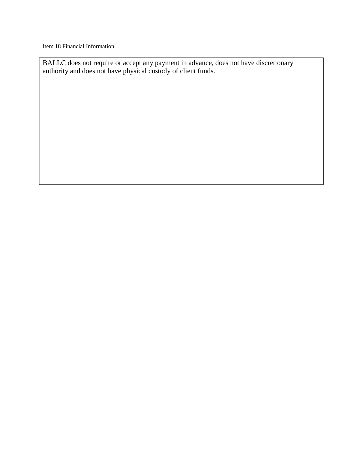Item 18 Financial Information

BALLC does not require or accept any payment in advance, does not have discretionary authority and does not have physical custody of client funds.